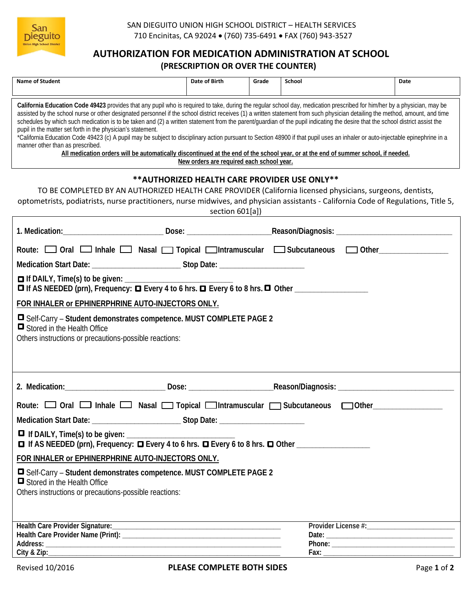

## **AUTHORIZATION FOR MEDICATION ADMINISTRATION AT SCHOOL (PRESCRIPTION OR OVER THE COUNTER)**

| <b>Name of Student</b>                                                                                                                                                                                                                                                                                                                                                                                                                                                                                                                                                                                                                                                                                                                                                                                                                                                                                                                                                                                             | Date of Birth | Grade | School | Date |  |
|--------------------------------------------------------------------------------------------------------------------------------------------------------------------------------------------------------------------------------------------------------------------------------------------------------------------------------------------------------------------------------------------------------------------------------------------------------------------------------------------------------------------------------------------------------------------------------------------------------------------------------------------------------------------------------------------------------------------------------------------------------------------------------------------------------------------------------------------------------------------------------------------------------------------------------------------------------------------------------------------------------------------|---------------|-------|--------|------|--|
| California Education Code 49423 provides that any pupil who is required to take, during the regular school day, medication prescribed for him/her by a physician, may be<br>assisted by the school nurse or other designated personnel if the school district receives (1) a written statement from such physician detailing the method, amount, and time<br>schedules by which such medication is to be taken and (2) a written statement from the parent/guardian of the pupil indicating the desire that the school district assist the<br>pupil in the matter set forth in the physician's statement.<br>*California Education Code 49423 (c) A pupil may be subject to disciplinary action pursuant to Section 48900 if that pupil uses an inhaler or auto-injectable epinephrine in a<br>manner other than as prescribed.<br>All medication orders will be automatically discontinued at the end of the school year, or at the end of summer school, if needed.<br>New orders are required each school year. |               |       |        |      |  |
| ** AUTHORIZED HEALTH CARE PROVIDER USE ONLY**<br>TO BE COMPLETED BY AN AUTHORIZED HEALTH CARE PROVIDER (California licensed physicians, surgeons, dentists,<br>optometrists, podiatrists, nurse practitioners, nurse midwives, and physician assistants - California Code of Regulations, Title 5,<br>section 601[a])<br><u> 1980 - Jan Samuel Barbara, margaret e populazion del control del control del control del control de la control</u>                                                                                                                                                                                                                                                                                                                                                                                                                                                                                                                                                                    |               |       |        |      |  |
|                                                                                                                                                                                                                                                                                                                                                                                                                                                                                                                                                                                                                                                                                                                                                                                                                                                                                                                                                                                                                    |               |       |        |      |  |
| Route: □ Oral □ Inhale □ Nasal □ Topical □ Intramuscular □ Subcutaneous □ Other_____________<br>Medication Start Date: ___________________________Stop Date: ___________________                                                                                                                                                                                                                                                                                                                                                                                                                                                                                                                                                                                                                                                                                                                                                                                                                                   |               |       |        |      |  |
| FOR INHALER or EPHINERPHRINE AUTO-INJECTORS ONLY.<br>□ Self-Carry – Student demonstrates competence. MUST COMPLETE PAGE 2<br>Stored in the Health Office<br>Others instructions or precautions-possible reactions:                                                                                                                                                                                                                                                                                                                                                                                                                                                                                                                                                                                                                                                                                                                                                                                                 |               |       |        |      |  |
|                                                                                                                                                                                                                                                                                                                                                                                                                                                                                                                                                                                                                                                                                                                                                                                                                                                                                                                                                                                                                    |               |       |        |      |  |
| Route: $\Box$ Oral $\Box$ Inhale $\Box$ Nasal $\Box$ Topical $\Box$ Intramuscular $\Box$ Subcutaneous $\Box$ Other                                                                                                                                                                                                                                                                                                                                                                                                                                                                                                                                                                                                                                                                                                                                                                                                                                                                                                 |               |       |        |      |  |
| Medication Start Date: __________________________________Stop Date: _____________                                                                                                                                                                                                                                                                                                                                                                                                                                                                                                                                                                                                                                                                                                                                                                                                                                                                                                                                  |               |       |        |      |  |
|                                                                                                                                                                                                                                                                                                                                                                                                                                                                                                                                                                                                                                                                                                                                                                                                                                                                                                                                                                                                                    |               |       |        |      |  |
| FOR INHALER or EPHINERPHRINE AUTO-INJECTORS ONLY.                                                                                                                                                                                                                                                                                                                                                                                                                                                                                                                                                                                                                                                                                                                                                                                                                                                                                                                                                                  |               |       |        |      |  |
| □ Self-Carry – Student demonstrates competence. MUST COMPLETE PAGE 2<br>Stored in the Health Office<br>Others instructions or precautions-possible reactions:                                                                                                                                                                                                                                                                                                                                                                                                                                                                                                                                                                                                                                                                                                                                                                                                                                                      |               |       |        |      |  |
|                                                                                                                                                                                                                                                                                                                                                                                                                                                                                                                                                                                                                                                                                                                                                                                                                                                                                                                                                                                                                    |               |       |        |      |  |
|                                                                                                                                                                                                                                                                                                                                                                                                                                                                                                                                                                                                                                                                                                                                                                                                                                                                                                                                                                                                                    |               |       |        |      |  |
|                                                                                                                                                                                                                                                                                                                                                                                                                                                                                                                                                                                                                                                                                                                                                                                                                                                                                                                                                                                                                    |               |       |        |      |  |